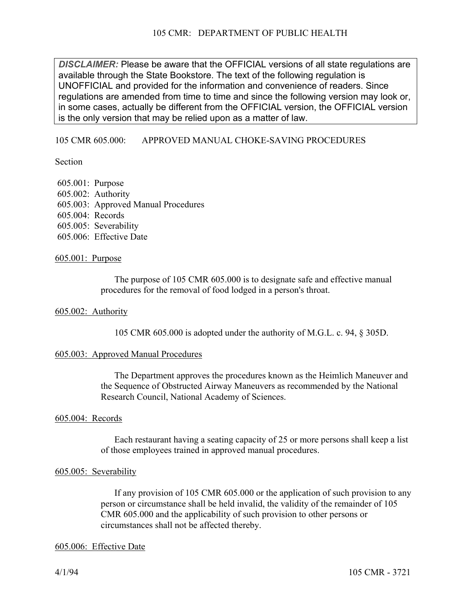*DISCLAIMER:* Please be aware that the OFFICIAL versions of all state regulations are available through the State Bookstore. The text of the following regulation is UNOFFICIAL and provided for the information and convenience of readers. Since regulations are amended from time to time and since the following version may look or, in some cases, actually be different from the OFFICIAL version, the OFFICIAL version is the only version that may be relied upon as a matter of law.

### 105 CMR 605.000: APPROVED MANUAL CHOKE-SAVING PROCEDURES

**Section** 

605.001: Purpose 605.002: Authority 605.003: Approved Manual Procedures 605.004: Records 605.005: Severability 605.006: Effective Date

### 605.001: Purpose

The purpose of 105 CMR 605.000 is to designate safe and effective manual procedures for the removal of food lodged in a person's throat.

#### 605.002: Authority

105 CMR 605.000 is adopted under the authority of M.G.L. c. 94, § 305D.

### 605.003: Approved Manual Procedures

The Department approves the procedures known as the Heimlich Maneuver and the Sequence of Obstructed Airway Maneuvers as recommended by the National Research Council, National Academy of Sciences.

#### 605.004: Records

Each restaurant having a seating capacity of 25 or more persons shall keep a list of those employees trained in approved manual procedures.

#### 605.005: Severability

If any provision of 105 CMR 605.000 or the application of such provision to any person or circumstance shall be held invalid, the validity of the remainder of 105 CMR 605.000 and the applicability of such provision to other persons or circumstances shall not be affected thereby.

#### 605.006: Effective Date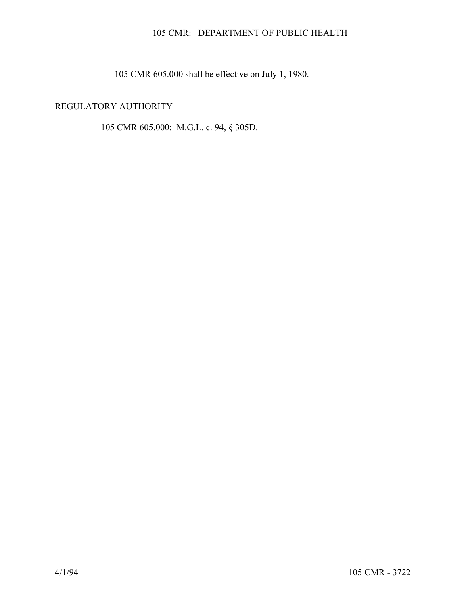## 105 CMR: DEPARTMENT OF PUBLIC HEALTH

105 CMR 605.000 shall be effective on July 1, 1980.

# REGULATORY AUTHORITY

105 CMR 605.000: M.G.L. c. 94, § 305D.